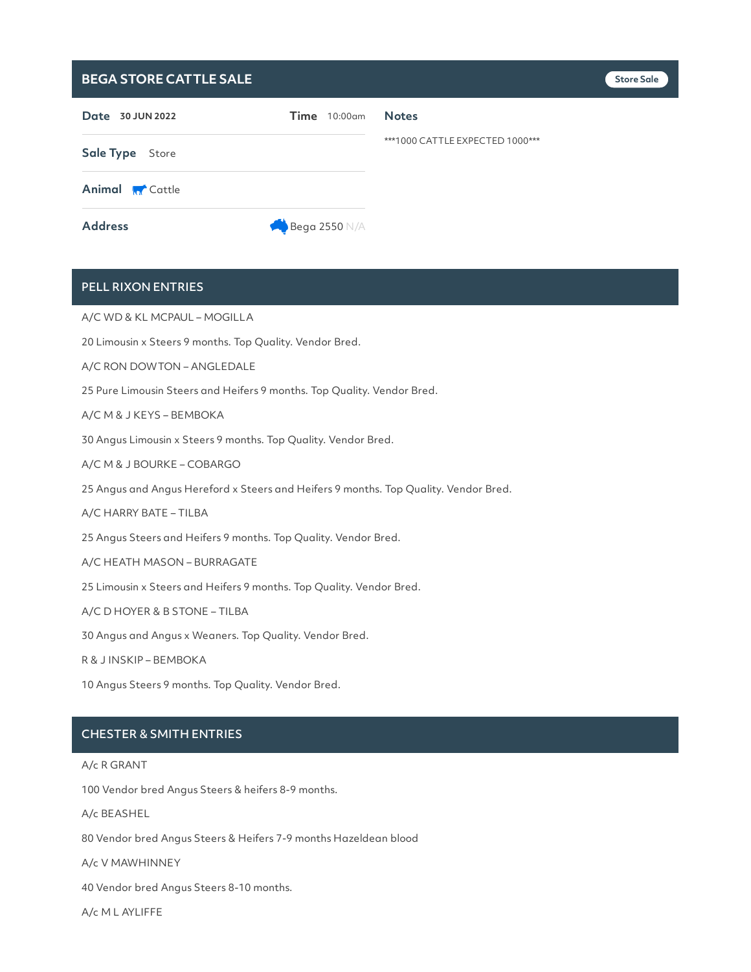## **BEGA STORE CATTLE SALE**

| Date 30 JUN 2022       |                      | $Time$ 10:00 $cm$ | <b>Notes</b>                    |
|------------------------|----------------------|-------------------|---------------------------------|
| Sale Type Store        |                      |                   | ***1000 CATTLE EXPECTED 1000*** |
| <b>Animal M</b> Cattle |                      |                   |                                 |
| <b>Address</b>         | <b>Bega 2550 N/A</b> |                   |                                 |

# PELL RIXON ENTRIES

A/C WD & KL MCPAUL – MOGILLA

20 Limousin x Steers 9 months. Top Quality. Vendor Bred.

A/C RON DOWTON – ANGLEDALE

25 Pure Limousin Steers and Heifers 9 months. Top Quality. Vendor Bred.

#### A/C M & J KEYS – BEMBOKA

30 Angus Limousin x Steers 9 months. Top Quality. Vendor Bred.

```
A/C M & J BOURKE – COBARGO
```
25 Angus and Angus Hereford x Steers and Heifers 9 months. Top Quality. Vendor Bred.

A/C HARRY BATE – TILBA

25 Angus Steers and Heifers 9 months. Top Quality. Vendor Bred.

#### A/C HEATH MASON – BURRAGATE

25 Limousin x Steers and Heifers 9 months. Top Quality. Vendor Bred.

### A/C D HOYER & B STONE – TILBA

30 Angus and Angus x Weaners. Top Quality. Vendor Bred.

R & J INSKIP – BEMBOKA

10 Angus Steers 9 months. Top Quality. Vendor Bred.

### CHESTER & SMITH ENTRIES

#### A/c R GRANT

100 Vendor bred Angus Steers & heifers 8-9 months.

A/c BEASHEL

80 Vendor bred Angus Steers & Heifers 7-9 months Hazeldean blood

A/c V MAWHINNEY

40 Vendor bred Angus Steers 8-10 months.

A/c M L AYLIFFE